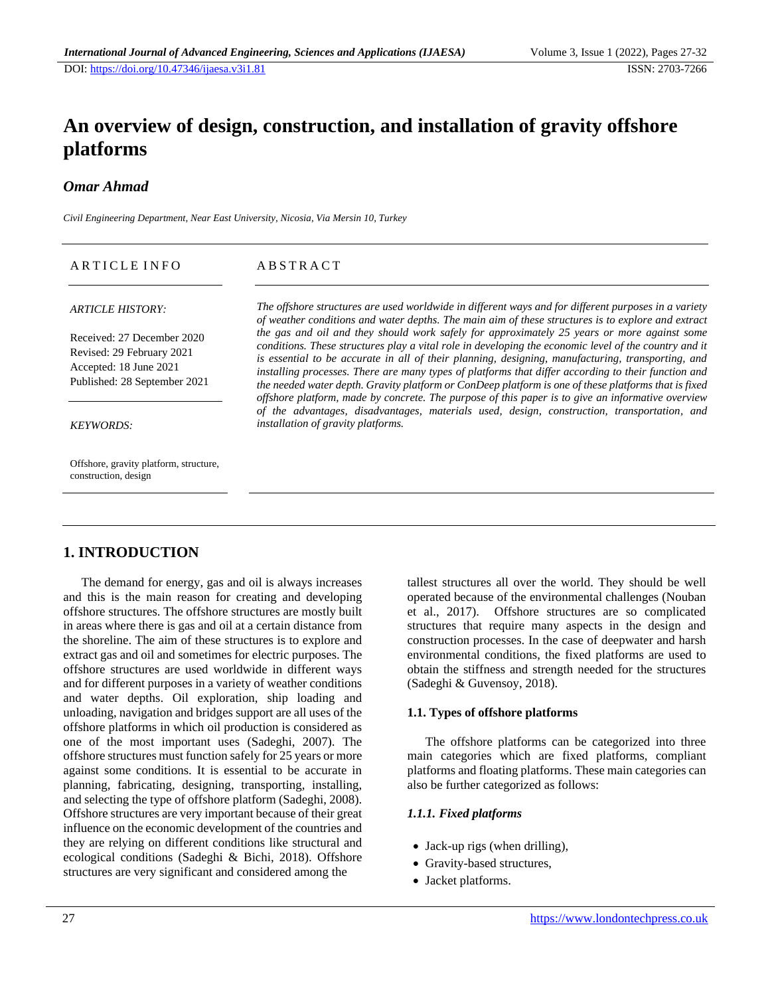# **An overview of design, construction, and installation of gravity offshore platforms**

### *Omar Ahmad*

*Civil Engineering Department, Near East University, Nicosia, Via Mersin 10, Turkey*

| ARTICLE INFO                                                                                                      | ABSTRACT                                                                                                                                                                                                                                                                                                                                                                                                                                                                                                                 |
|-------------------------------------------------------------------------------------------------------------------|--------------------------------------------------------------------------------------------------------------------------------------------------------------------------------------------------------------------------------------------------------------------------------------------------------------------------------------------------------------------------------------------------------------------------------------------------------------------------------------------------------------------------|
| <b>ARTICLE HISTORY:</b>                                                                                           | The offshore structures are used worldwide in different ways and for different purposes in a variety<br>of weather conditions and water depths. The main aim of these structures is to explore and extract                                                                                                                                                                                                                                                                                                               |
| Received: 27 December 2020<br>Revised: 29 February 2021<br>Accepted: 18 June 2021<br>Published: 28 September 2021 | the gas and oil and they should work safely for approximately 25 years or more against some<br>conditions. These structures play a vital role in developing the economic level of the country and it<br>is essential to be accurate in all of their planning, designing, manufacturing, transporting, and<br>installing processes. There are many types of platforms that differ according to their function and<br>the needed water depth. Gravity platform or ConDeep platform is one of these platforms that is fixed |
| <b>KEYWORDS:</b>                                                                                                  | offshore platform, made by concrete. The purpose of this paper is to give an informative overview<br>of the advantages, disadvantages, materials used, design, construction, transportation, and<br>installation of gravity platforms.                                                                                                                                                                                                                                                                                   |
| Offshore, gravity platform, structure,                                                                            |                                                                                                                                                                                                                                                                                                                                                                                                                                                                                                                          |

### **1. INTRODUCTION**

construction, design

The demand for energy, gas and oil is always increases and this is the main reason for creating and developing offshore structures. The offshore structures are mostly built in areas where there is gas and oil at a certain distance from the shoreline. The aim of these structures is to explore and extract gas and oil and sometimes for electric purposes. The offshore structures are used worldwide in different ways and for different purposes in a variety of weather conditions and water depths. Oil exploration, ship loading and unloading, navigation and bridges support are all uses of the offshore platforms in which oil production is considered as one of the most important uses (Sadeghi, 2007). The offshore structures must function safely for 25 years or more against some conditions. It is essential to be accurate in planning, fabricating, designing, transporting, installing, and selecting the type of offshore platform (Sadeghi, 2008). Offshore structures are very important because of their great influence on the economic development of the countries and they are relying on different conditions like structural and ecological conditions (Sadeghi & Bichi, 2018). Offshore structures are very significant and considered among the

tallest structures all over the world. They should be well operated because of the environmental challenges (Nouban et al., 2017). Offshore structures are so complicated structures that require many aspects in the design and construction processes. In the case of deepwater and harsh environmental conditions, the fixed platforms are used to obtain the stiffness and strength needed for the structures (Sadeghi & Guvensoy, 2018).

#### **1.1. Types of offshore platforms**

The offshore platforms can be categorized into three main categories which are fixed platforms, compliant platforms and floating platforms. These main categories can also be further categorized as follows:

#### *1.1.1. Fixed platforms*

- Jack-up rigs (when drilling),
- Gravity-based structures,
- Jacket platforms.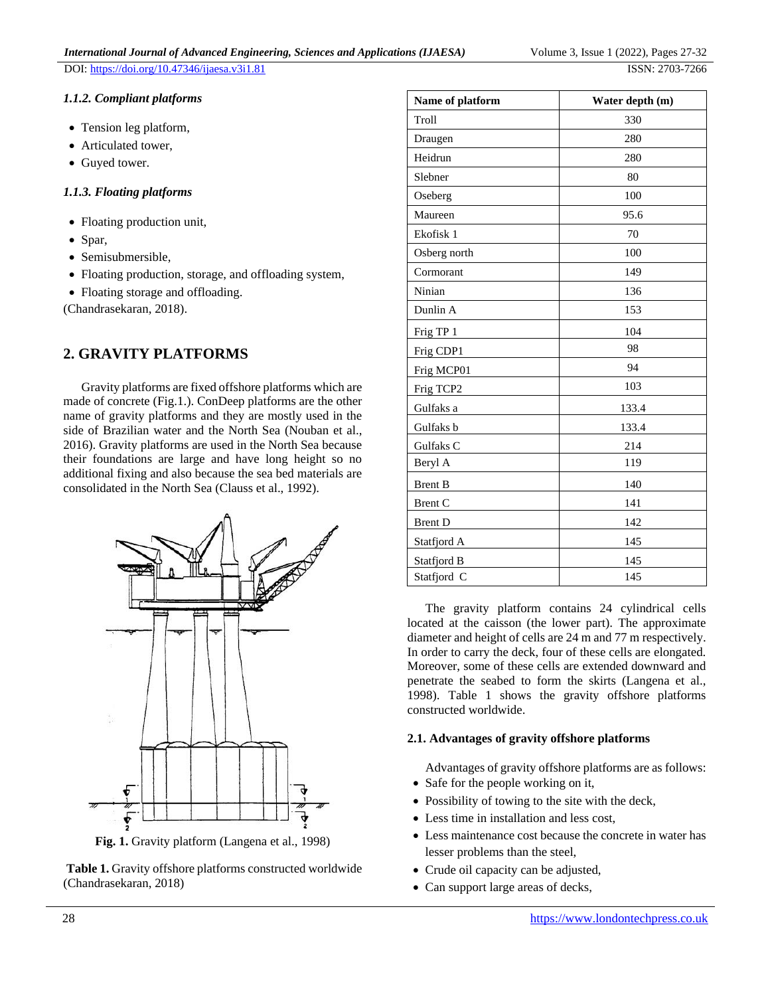#### *1.1.2. Compliant platforms*

- Tension leg platform,
- Articulated tower,
- Guyed tower.

#### *1.1.3. Floating platforms*

- Floating production unit,
- Spar,
- Semisubmersible,
- Floating production, storage, and offloading system,
- Floating storage and offloading.

(Chandrasekaran, 2018).

### **2. GRAVITY PLATFORMS**

Gravity platforms are fixed offshore platforms which are made of concrete (Fig.1.). ConDeep platforms are the other name of gravity platforms and they are mostly used in the side of Brazilian water and the North Sea (Nouban et al., 2016). Gravity platforms are used in the North Sea because their foundations are large and have long height so no additional fixing and also because the sea bed materials are consolidated in the North Sea (Clauss et al., 1992).



**Fig. 1.** Gravity platform (Langena et al., 1998)



| Name of platform | Water depth (m) |
|------------------|-----------------|
| Troll            | 330             |
| Draugen          | 280             |
| Heidrun          | 280             |
| Slebner          | 80              |
| Oseberg          | 100             |
| Maureen          | 95.6            |
| Ekofisk 1        | 70              |
| Osberg north     | 100             |
| Cormorant        | 149             |
| Ninian           | 136             |
| Dunlin A         | 153             |
| Frig TP 1        | 104             |
| Frig CDP1        | 98              |
| Frig MCP01       | 94              |
| Frig TCP2        | 103             |
| Gulfaks a        | 133.4           |
| Gulfaks b        | 133.4           |
| Gulfaks C        | 214             |
| Beryl A          | 119             |
| <b>Brent B</b>   | 140             |
| Brent C          | 141             |
| <b>Brent D</b>   | 142             |
| Statfjord A      | 145             |
| Statfjord B      | 145             |
| Statfjord C      | 145             |

The gravity platform contains 24 cylindrical cells located at the caisson (the lower part). The approximate diameter and height of cells are 24 m and 77 m respectively. In order to carry the deck, four of these cells are elongated. Moreover, some of these cells are extended downward and penetrate the seabed to form the skirts (Langena et al., 1998). Table 1 shows the gravity offshore platforms constructed worldwide.

#### **2.1. Advantages of gravity offshore platforms**

Advantages of gravity offshore platforms are as follows:

- Safe for the people working on it,
- Possibility of towing to the site with the deck,
- Less time in installation and less cost,
- Less maintenance cost because the concrete in water has lesser problems than the steel,
- Crude oil capacity can be adjusted,
- Can support large areas of decks,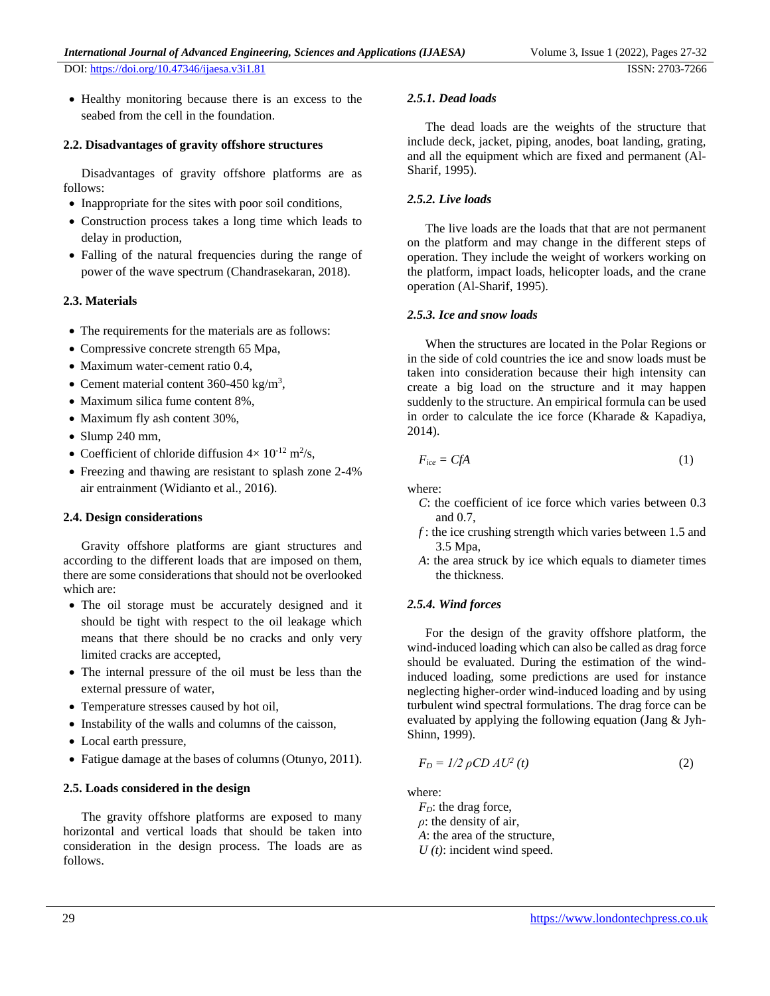• Healthy monitoring because there is an excess to the seabed from the cell in the foundation.

#### **2.2. Disadvantages of gravity offshore structures**

Disadvantages of gravity offshore platforms are as follows:

- Inappropriate for the sites with poor soil conditions,
- Construction process takes a long time which leads to delay in production,
- Falling of the natural frequencies during the range of power of the wave spectrum (Chandrasekaran, 2018).

#### **2.3. Materials**

- The requirements for the materials are as follows:
- Compressive concrete strength 65 Mpa,
- Maximum water-cement ratio 0.4,
- Cement material content  $360 450$  kg/m<sup>3</sup>,
- Maximum silica fume content 8%,
- Maximum fly ash content 30%,
- Slump 240 mm,
- Coefficient of chloride diffusion  $4 \times 10^{-12}$  m<sup>2</sup>/s,
- Freezing and thawing are resistant to splash zone 2-4% air entrainment (Widianto et al., 2016).

#### **2.4. Design considerations**

Gravity offshore platforms are giant structures and according to the different loads that are imposed on them, there are some considerations that should not be overlooked which are:

- The oil storage must be accurately designed and it should be tight with respect to the oil leakage which means that there should be no cracks and only very limited cracks are accepted,
- The internal pressure of the oil must be less than the external pressure of water,
- Temperature stresses caused by hot oil,
- Instability of the walls and columns of the caisson,
- Local earth pressure,
- Fatigue damage at the bases of columns (Otunyo, 2011).

#### **2.5. Loads considered in the design**

The gravity offshore platforms are exposed to many horizontal and vertical loads that should be taken into consideration in the design process. The loads are as follows.

#### *2.5.1. Dead loads*

The dead loads are the weights of the structure that include deck, jacket, piping, anodes, boat landing, grating, and all the equipment which are fixed and permanent (Al-Sharif, 1995).

#### *2.5.2. Live loads*

The live loads are the loads that that are not permanent on the platform and may change in the different steps of operation. They include the weight of workers working on the platform, impact loads, helicopter loads, and the crane operation (Al-Sharif, 1995).

#### *2.5.3. Ice and snow loads*

When the structures are located in the Polar Regions or in the side of cold countries the ice and snow loads must be taken into consideration because their high intensity can create a big load on the structure and it may happen suddenly to the structure. An empirical formula can be used in order to calculate the ice force (Kharade & Kapadiya, 2014).

$$
F_{ice} = CfA \tag{1}
$$

where:

- *C*: the coefficient of ice force which varies between 0.3 and 0.7,
- *f* : the ice crushing strength which varies between 1.5 and 3.5 Mpa,
- *A*: the area struck by ice which equals to diameter times the thickness.

#### *2.5.4. Wind forces*

For the design of the gravity offshore platform, the wind-induced loading which can also be called as drag force should be evaluated. During the estimation of the windinduced loading, some predictions are used for instance neglecting higher-order wind-induced loading and by using turbulent wind spectral formulations. The drag force can be evaluated by applying the following equation (Jang & Jyh-Shinn, 1999).

$$
F_D = I/2 \rho C D A U^2 \left( t \right) \tag{2}
$$

where:

*F<sub>D</sub>*: the drag force, *ρ*: the density of air, *A*: the area of the structure, *U (t)*: incident wind speed.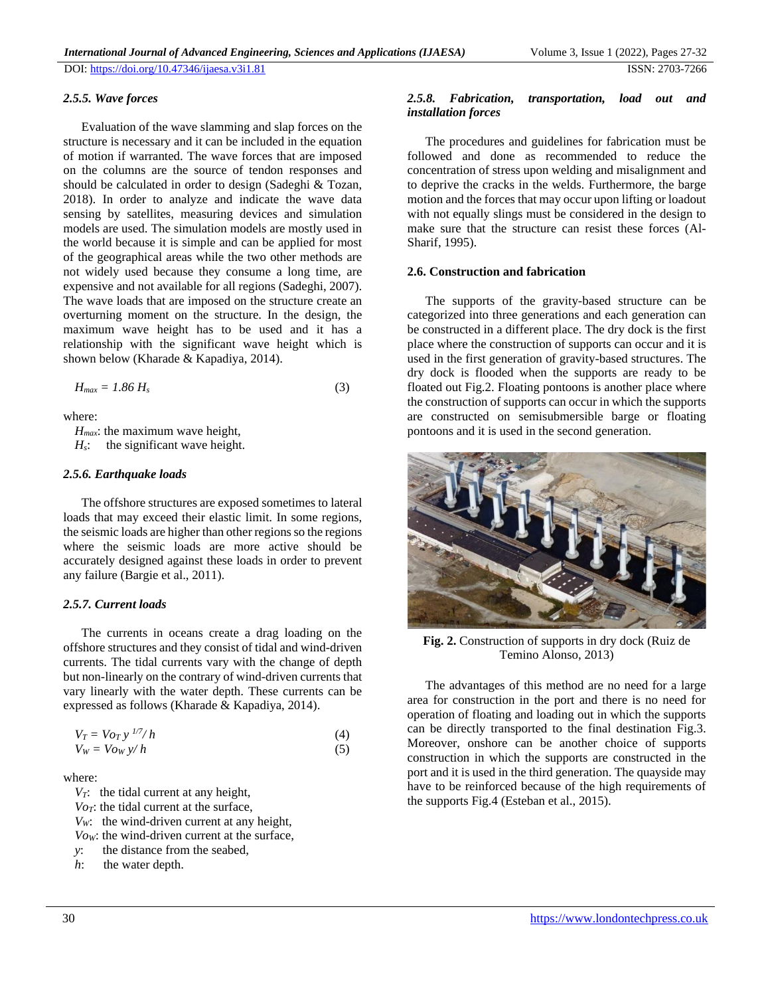#### *2.5.5. Wave forces*

Evaluation of the wave slamming and slap forces on the structure is necessary and it can be included in the equation of motion if warranted. The wave forces that are imposed on the columns are the source of tendon responses and should be calculated in order to design (Sadeghi & Tozan, 2018). In order to analyze and indicate the wave data sensing by satellites, measuring devices and simulation models are used. The simulation models are mostly used in the world because it is simple and can be applied for most of the geographical areas while the two other methods are not widely used because they consume a long time, are expensive and not available for all regions (Sadeghi, 2007). The wave loads that are imposed on the structure create an overturning moment on the structure. In the design, the maximum wave height has to be used and it has a relationship with the significant wave height which is shown below (Kharade & Kapadiya, 2014).

$$
H_{max} = 1.86 H_s \tag{3}
$$

where:

*Hmax*: the maximum wave height,

*H<sub>s</sub>*: the significant wave height.

#### *2.5.6. Earthquake loads*

The offshore structures are exposed sometimes to lateral loads that may exceed their elastic limit. In some regions, the seismic loads are higher than other regions so the regions where the seismic loads are more active should be accurately designed against these loads in order to prevent any failure (Bargie et al., 2011).

#### *2.5.7. Current loads*

The currents in oceans create a drag loading on the offshore structures and they consist of tidal and wind-driven currents. The tidal currents vary with the change of depth but non-linearly on the contrary of wind-driven currents that vary linearly with the water depth. These currents can be expressed as follows (Kharade & Kapadiya, 2014).

$$
V_T = Vo_T y^{1/7}/h
$$
  
\n
$$
V_W = Vo_W y/h
$$
\n(4)

where:

*VT*: the tidal current at any height,

*VoT*: the tidal current at the surface,

*VW*: the wind-driven current at any height,

*VoW*: the wind-driven current at the surface,

*y*: the distance from the seabed,

*h*: the water depth.

#### *2.5.8. Fabrication, transportation, load out and installation forces*

The procedures and guidelines for fabrication must be followed and done as recommended to reduce the concentration of stress upon welding and misalignment and to deprive the cracks in the welds. Furthermore, the barge motion and the forces that may occur upon lifting or loadout with not equally slings must be considered in the design to make sure that the structure can resist these forces (Al-Sharif, 1995).

#### **2.6. Construction and fabrication**

The supports of the gravity-based structure can be categorized into three generations and each generation can be constructed in a different place. The dry dock is the first place where the construction of supports can occur and it is used in the first generation of gravity-based structures. The dry dock is flooded when the supports are ready to be floated out Fig.2. Floating pontoons is another place where the construction of supports can occur in which the supports are constructed on semisubmersible barge or floating pontoons and it is used in the second generation.



**Fig. 2.** Construction of supports in dry dock (Ruiz de Temino Alonso, 2013)

The advantages of this method are no need for a large area for construction in the port and there is no need for operation of floating and loading out in which the supports can be directly transported to the final destination Fig.3. Moreover, onshore can be another choice of supports construction in which the supports are constructed in the port and it is used in the third generation. The quayside may have to be reinforced because of the high requirements of the supports Fig.4 (Esteban et al., 2015).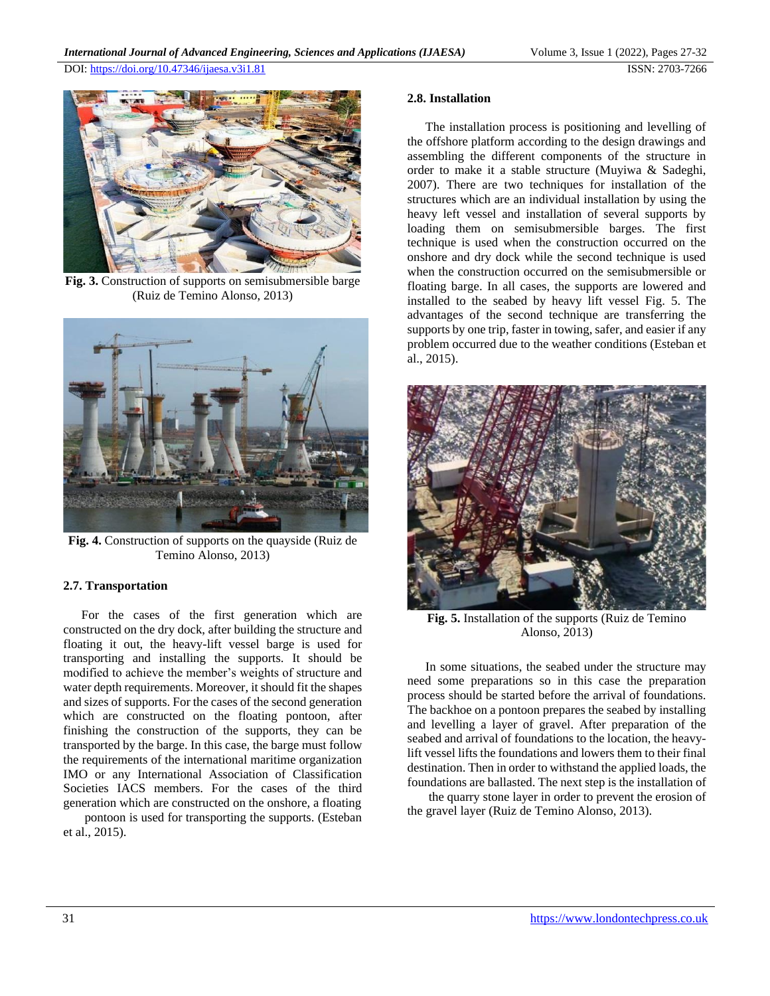

**Fig. 3.** Construction of supports on semisubmersible barge (Ruiz de Temino Alonso, 2013)



**Fig. 4.** Construction of supports on the quayside (Ruiz de Temino Alonso, 2013)

#### **2.7. Transportation**

For the cases of the first generation which are constructed on the dry dock, after building the structure and floating it out, the heavy-lift vessel barge is used for transporting and installing the supports. It should be modified to achieve the member's weights of structure and water depth requirements. Moreover, it should fit the shapes and sizes of supports. For the cases of the second generation which are constructed on the floating pontoon, after finishing the construction of the supports, they can be transported by the barge. In this case, the barge must follow the requirements of the international maritime organization IMO or any International Association of Classification Societies IACS members. For the cases of the third generation which are constructed on the onshore, a floating

pontoon is used for transporting the supports. (Esteban et al., 2015).

#### **2.8. Installation**

The installation process is positioning and levelling of the offshore platform according to the design drawings and assembling the different components of the structure in order to make it a stable structure (Muyiwa & Sadeghi, 2007). There are two techniques for installation of the structures which are an individual installation by using the heavy left vessel and installation of several supports by loading them on semisubmersible barges. The first technique is used when the construction occurred on the onshore and dry dock while the second technique is used when the construction occurred on the semisubmersible or floating barge. In all cases, the supports are lowered and installed to the seabed by heavy lift vessel Fig. 5. The advantages of the second technique are transferring the supports by one trip, faster in towing, safer, and easier if any problem occurred due to the weather conditions (Esteban et al., 2015).



**Fig. 5.** Installation of the supports (Ruiz de Temino Alonso, 2013)

In some situations, the seabed under the structure may need some preparations so in this case the preparation process should be started before the arrival of foundations. The backhoe on a pontoon prepares the seabed by installing and levelling a layer of gravel. After preparation of the seabed and arrival of foundations to the location, the heavylift vessel lifts the foundations and lowers them to their final destination. Then in order to withstand the applied loads, the foundations are ballasted. The next step is the installation of

the quarry stone layer in order to prevent the erosion of the gravel layer (Ruiz de Temino Alonso, 2013).